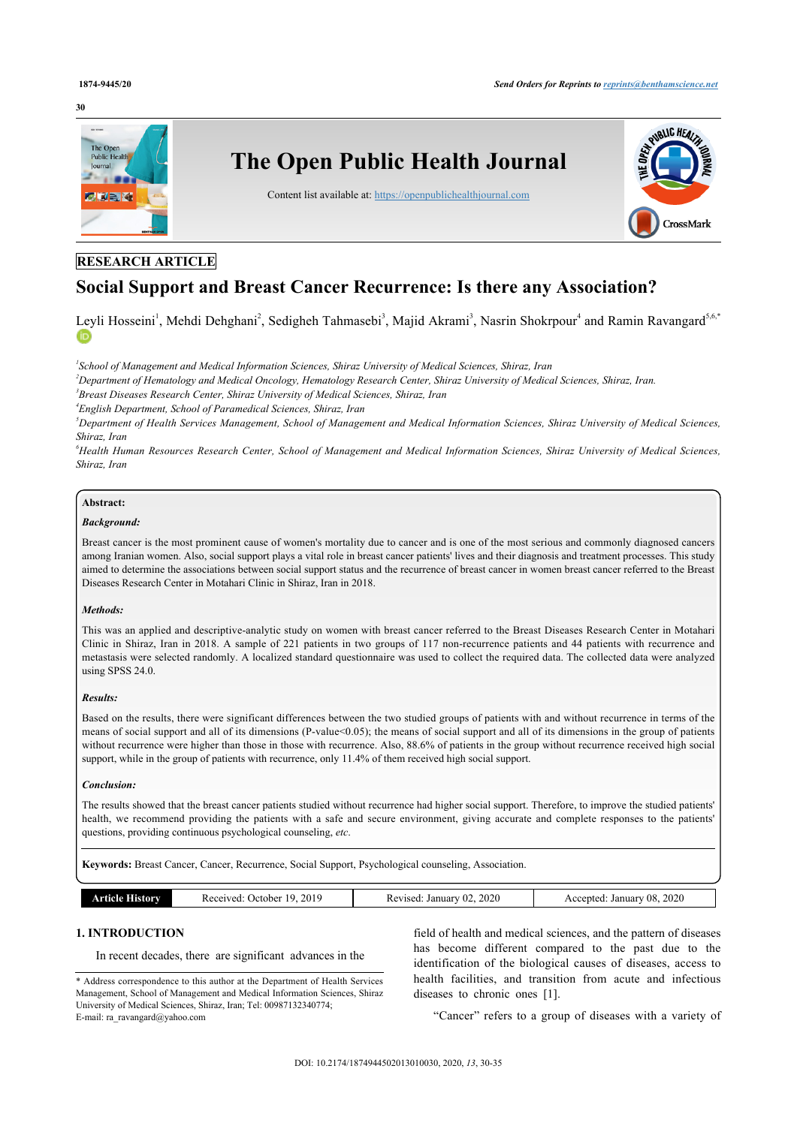#### **30**



### **RESEARCH ARTICLE**

# **Social Support and Breast Cancer Recurrence: Is there any Association?**

[Ley](http://orcid.org/0000-0001-7115-9850)li Hosseini<sup>[1](#page-0-0)</sup>, Mehdi Dehghani<sup>[2](#page-0-1)</sup>, Sedigheh Tahmasebi<sup>[3](#page-0-2)</sup>, Majid Akrami<sup>3</sup>, Nasrin Shokrpour<sup>[4](#page-0-3)</sup> and Ramin Ravangard<sup>[5](#page-0-4),[6](#page-0-5),[\\*](#page-0-6)</sup>

<span id="page-0-0"></span>*1 School of Management and Medical Information Sciences, Shiraz University of Medical Sciences, Shiraz, Iran*

<span id="page-0-1"></span>*<sup>2</sup>Department of Hematology and Medical Oncology, Hematology Research Center, Shiraz University of Medical Sciences, Shiraz, Iran.*

<span id="page-0-3"></span><span id="page-0-2"></span>*3 Breast Diseases Research Center, Shiraz University of Medical Sciences, Shiraz, Iran*

*4 English Department, School of Paramedical Sciences, Shiraz, Iran*

<span id="page-0-4"></span>*<sup>5</sup>Department of Health Services Management, School of Management and Medical Information Sciences, Shiraz University of Medical Sciences, Shiraz, Iran*

<span id="page-0-5"></span>*<sup>6</sup>Health Human Resources Research Center, School of Management and Medical Information Sciences, Shiraz University of Medical Sciences, Shiraz, Iran*

#### **Abstract:**

#### *Background:*

Breast cancer is the most prominent cause of women's mortality due to cancer and is one of the most serious and commonly diagnosed cancers among Iranian women. Also, social support plays a vital role in breast cancer patients' lives and their diagnosis and treatment processes. This study aimed to determine the associations between social support status and the recurrence of breast cancer in women breast cancer referred to the Breast Diseases Research Center in Motahari Clinic in Shiraz, Iran in 2018.

#### *Methods:*

This was an applied and descriptive-analytic study on women with breast cancer referred to the Breast Diseases Research Center in Motahari Clinic in Shiraz, Iran in 2018. A sample of 221 patients in two groups of 117 non-recurrence patients and 44 patients with recurrence and metastasis were selected randomly. A localized standard questionnaire was used to collect the required data. The collected data were analyzed using SPSS 24.0.

#### *Results:*

Based on the results, there were significant differences between the two studied groups of patients with and without recurrence in terms of the means of social support and all of its dimensions (P-value<0.05); the means of social support and all of its dimensions in the group of patients without recurrence were higher than those in those with recurrence. Also, 88.6% of patients in the group without recurrence received high social support, while in the group of patients with recurrence, only 11.4% of them received high social support.

#### *Conclusion:*

The results showed that the breast cancer patients studied without recurrence had higher social support. Therefore, to improve the studied patients' health, we recommend providing the patients with a safe and secure environment, giving accurate and complete responses to the patients' questions, providing continuous psychological counseling, *etc*.

**Keywords:** Breast Cancer, Cancer, Recurrence, Social Support, Psychological counseling, Association.

| History<br>ATT<br>10 О | 2019<br>Received:<br>1 U<br>October ( | 2020<br>January<br>Revised<br>∸O∠ | 2020<br>$-08$<br>Accepted.<br>January |
|------------------------|---------------------------------------|-----------------------------------|---------------------------------------|
|                        |                                       |                                   |                                       |

### **1. INTRODUCTION**

In recent decades, there are significant advances in the

field of health and medical sciences, and the pattern of diseases has become different compared to the past due to the identification of the biological causes of diseases, access to health facilities, and transition from acute and infectious diseases to chronic ones[[1](#page-4-0)].

"Cancer" refers to a group of diseases with a variety of

<span id="page-0-6"></span><sup>\*</sup> Address correspondence to this author at the Department of Health Services Management, School of Management and Medical Information Sciences, Shiraz University of Medical Sciences, Shiraz, Iran; Tel: 00987132340774; E-mail: [ra\\_ravangard@yahoo.com](mailto:ra_ravangard@yahoo.com)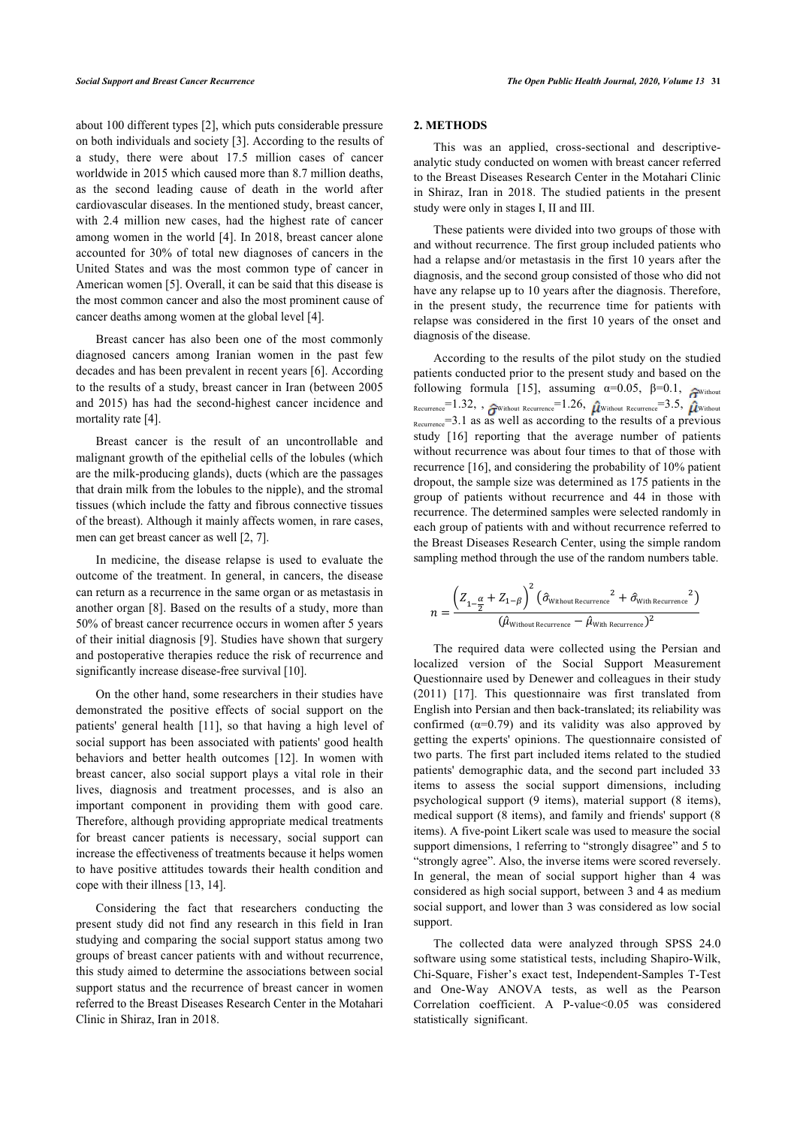about 100 different types [\[2](#page-4-1)], which puts considerable pressure on both individuals and society [\[3\]](#page-4-2). According to the results of a study, there were about 17.5 million cases of cancer worldwide in 2015 which caused more than 8.7 million deaths, as the second leading cause of death in the world after cardiovascular diseases. In the mentioned study, breast cancer, with 2.4 million new cases, had the highest rate of cancer among women in the world [[4](#page-4-3)]. In 2018, breast cancer alone accounted for 30% of total new diagnoses of cancers in the United States and was the most common type of cancer in American women [[5](#page-4-4)]. Overall, it can be said that this disease is the most common cancer and also the most prominent cause of cancer deaths among women at the global level [[4](#page-4-3)].

Breast cancer has also been one of the most commonly diagnosed cancers among Iranian women in the past few decades and has been prevalent in recent years [\[6\]](#page-4-5). According to the results of a study, breast cancer in Iran (between 2005 and 2015) has had the second-highest cancer incidence and mortality rate [[4](#page-4-3)].

Breast cancer is the result of an uncontrollable and malignant growth of the epithelial cells of the lobules (which are the milk-producing glands), ducts (which are the passages that drain milk from the lobules to the nipple), and the stromal tissues (which include the fatty and fibrous connective tissues of the breast). Although it mainly affects women, in rare cases, men can get breast cancer as well [\[2,](#page-4-1) [7\]](#page-4-6).

In medicine, the disease relapse is used to evaluate the outcome of the treatment. In general, in cancers, the disease can return as a recurrence in the same organ or as metastasis in another organ [\[8\]](#page-4-7). Based on the results of a study, more than 50% of breast cancer recurrence occurs in women after 5 years of their initial diagnosis [\[9\]](#page-4-8). Studies have shown that surgery and postoperative therapies reduce the risk of recurrence and significantly increase disease-free survival [\[10](#page-4-9)].

On the other hand, some researchers in their studies have demonstrated the positive effects of social support on the patients' general health[[11\]](#page-4-10), so that having a high level of social support has been associated with patients' good health behaviors and better health outcomes [\[12\]](#page-4-11). In women with breast cancer, also social support plays a vital role in their lives, diagnosis and treatment processes, and is also an important component in providing them with good care. Therefore, although providing appropriate medical treatments for breast cancer patients is necessary, social support can increase the effectiveness of treatments because it helps women to have positive attitudes towards their health condition and cope with their illness [\[13](#page-4-12), [14\]](#page-4-13).

Considering the fact that researchers conducting the present study did not find any research in this field in Iran studying and comparing the social support status among two groups of breast cancer patients with and without recurrence, this study aimed to determine the associations between social support status and the recurrence of breast cancer in women referred to the Breast Diseases Research Center in the Motahari Clinic in Shiraz, Iran in 2018.

#### **2. METHODS**

This was an applied, cross-sectional and descriptiveanalytic study conducted on women with breast cancer referred to the Breast Diseases Research Center in the Motahari Clinic in Shiraz, Iran in 2018. The studied patients in the present study were only in stages I, II and III.

These patients were divided into two groups of those with and without recurrence. The first group included patients who had a relapse and/or metastasis in the first 10 years after the diagnosis, and the second group consisted of those who did not have any relapse up to 10 years after the diagnosis. Therefore, in the present study, the recurrence time for patients with relapse was considered in the first 10 years of the onset and diagnosis of the disease.

According to the results of the pilot study on the studied patients conducted prior to the present study and based on the following formula [\[15\]](#page-4-14), assuming  $\alpha=0.05$ ,  $\beta=0.1$ ,  $\mathcal{F}_{\text{Without}}$ Recurrence=1.32, ,  $\hat{A}^{\text{Without Recurrence}}=1.26$ ,  $\hat{B}^{\text{Without Recurrence}}=3.5$ ,  $\hat{B}^{\text{Without Recurrence}}$  $_{\text{Recurrency}} = 3.1$  as as well as according to the results of a previous study [\[16\]](#page-4-15) reporting that the average number of patients without recurrence was about four times to that of those with recurrence [[16\]](#page-4-15), and considering the probability of 10% patient dropout, the sample size was determined as 175 patients in the group of patients without recurrence and 44 in those with recurrence. The determined samples were selected randomly in each group of patients with and without recurrence referred to the Breast Diseases Research Center, using the simple random sampling method through the use of the random numbers table.

$$
n = \frac{\left(Z_{1-\frac{\alpha}{2}} + Z_{1-\beta}\right)^2 \left(\hat{\sigma}_{\text{Without Recurrence}}^2 + \hat{\sigma}_{\text{With Recurrence}}^2\right)}{(\hat{\mu}_{\text{Without Recurrence}} - \hat{\mu}_{\text{With Recurrence}})^2}
$$

The required data were collected using the Persian and localized version of the Social Support Measurement Questionnaire used by Denewer and colleagues in their study (2011)[[17](#page-4-16)]. This questionnaire was first translated from English into Persian and then back-translated; its reliability was confirmed  $(\alpha=0.79)$  and its validity was also approved by getting the experts' opinions. The questionnaire consisted of two parts. The first part included items related to the studied patients' demographic data, and the second part included 33 items to assess the social support dimensions, including psychological support (9 items), material support (8 items), medical support (8 items), and family and friends' support (8 items). A five-point Likert scale was used to measure the social support dimensions, 1 referring to "strongly disagree" and 5 to "strongly agree". Also, the inverse items were scored reversely. In general, the mean of social support higher than 4 was considered as high social support, between 3 and 4 as medium social support, and lower than 3 was considered as low social support.

The collected data were analyzed through SPSS 24.0 software using some statistical tests, including Shapiro-Wilk, Chi-Square, Fisher's exact test, Independent-Samples T-Test and One-Way ANOVA tests, as well as the Pearson Correlation coefficient. A P-value<0.05 was considered statistically significant.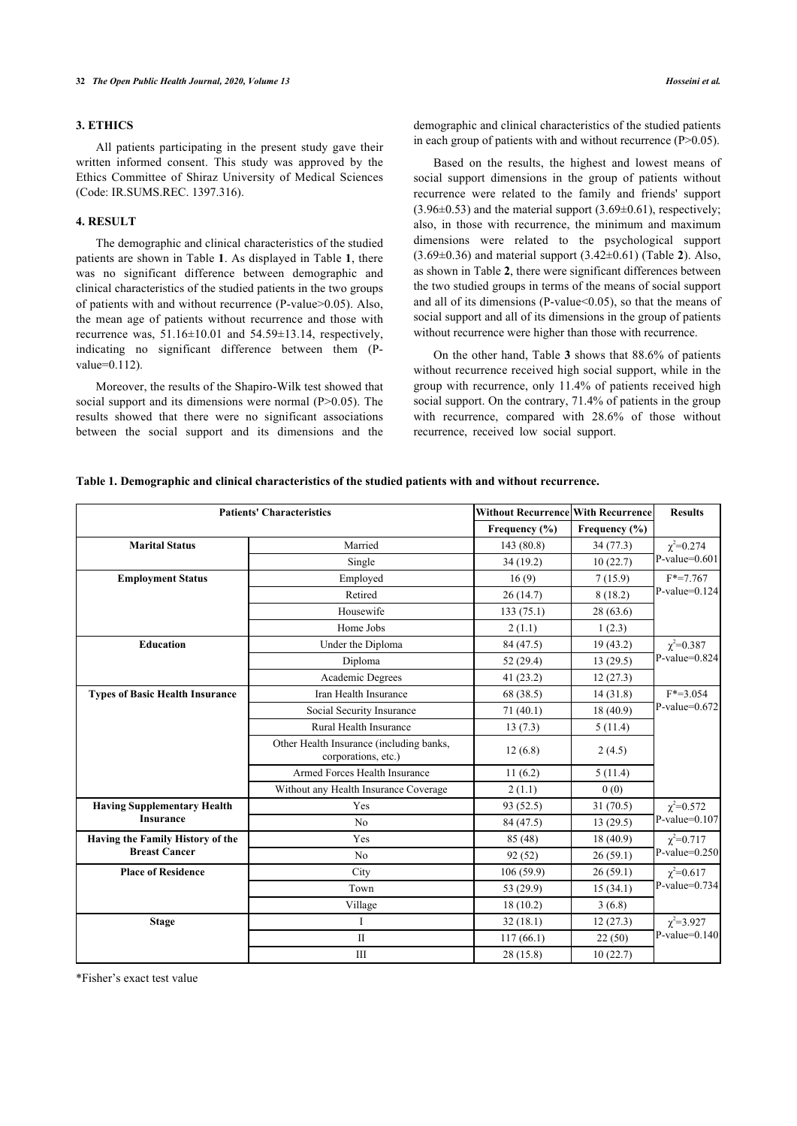#### **3. ETHICS**

All patients participating in the present study gave their written informed consent. This study was approved by the Ethics Committee of Shiraz University of Medical Sciences (Code: IR.SUMS.REC. 1397.316).

#### **4. RESULT**

The demographic and clinical characteristics of the studied patients are shown in Table **[1](#page-2-0)**. As displayed in Table **[1](#page-2-0)**, there was no significant difference between demographic and clinical characteristics of the studied patients in the two groups of patients with and without recurrence (P-value>0.05). Also, the mean age of patients without recurrence and those with recurrence was,  $51.16 \pm 10.01$  and  $54.59 \pm 13.14$ , respectively, indicating no significant difference between them (Pvalue=0.112).

Moreover, the results of the Shapiro-Wilk test showed that social support and its dimensions were normal (P>0.05). The results showed that there were no significant associations between the social support and its dimensions and the

Based on the results, the highest and lowest means of social support dimensions in the group of patients without recurrence were related to the family and friends' support  $(3.96\pm0.53)$  and the material support  $(3.69\pm0.61)$ , respectively; also, in those with recurrence, the minimum and maximum dimensions were related to the psychological support (3.69±0.36) and material support (3.42±0.61) (Table **[2](#page-3-0)**). Also, as shown in Table **[2](#page-3-0)**, there were significant differences between the two studied groups in terms of the means of social support and all of its dimensions (P-value  $< 0.05$ ), so that the means of social support and all of its dimensions in the group of patients without recurrence were higher than those with recurrence.

On the other hand, Table **[3](#page-3-1)** shows that 88.6% of patients without recurrence received high social support, while in the group with recurrence, only 11.4% of patients received high social support. On the contrary, 71.4% of patients in the group with recurrence, compared with 28.6% of those without recurrence, received low social support.

<span id="page-2-0"></span>

|  |  |  | Table 1. Demographic and clinical characteristics of the studied patients with and without recurrence. |  |
|--|--|--|--------------------------------------------------------------------------------------------------------|--|
|--|--|--|--------------------------------------------------------------------------------------------------------|--|

| <b>Patients' Characteristics</b>       |                                                                 | Without Recurrence With Recurrence |                   | <b>Results</b>                       |
|----------------------------------------|-----------------------------------------------------------------|------------------------------------|-------------------|--------------------------------------|
|                                        |                                                                 | Frequency (%)                      | Frequency $(\% )$ |                                      |
| <b>Marital Status</b>                  | Married                                                         | 143 (80.8)                         | 34(77.3)          | $\chi^2 = 0.274$                     |
|                                        | Single                                                          | 34(19.2)                           | 10(22.7)          | $P-value=0.601$                      |
| <b>Employment Status</b>               | Employed                                                        | 16(9)                              | 7(15.9)           | $F*=7.767$<br>$P-value=0.124$        |
|                                        | Retired                                                         | 26(14.7)                           | 8(18.2)           |                                      |
|                                        | Housewife                                                       | 133(75.1)                          | 28(63.6)          |                                      |
|                                        | Home Jobs                                                       | 2(1.1)                             | 1(2.3)            |                                      |
| <b>Education</b>                       | Under the Diploma                                               | 84 (47.5)                          | 19(43.2)          | $\chi^2 = 0.387$                     |
|                                        | Diploma                                                         | 52(29.4)                           | 13(29.5)          | $P-value=0.824$                      |
|                                        | Academic Degrees                                                | 41(23.2)                           | 12(27.3)          |                                      |
| <b>Types of Basic Health Insurance</b> | Iran Health Insurance                                           | 68 (38.5)                          | 14(31.8)          | $F* = 3.054$<br>$P-value=0.672$      |
|                                        | Social Security Insurance                                       | 71(40.1)                           | 18 (40.9)         |                                      |
|                                        | Rural Health Insurance                                          | 13(7.3)                            | 5(11.4)           |                                      |
|                                        | Other Health Insurance (including banks,<br>corporations, etc.) | 12(6.8)                            | 2(4.5)            |                                      |
|                                        | Armed Forces Health Insurance                                   | 11(6.2)                            | 5(11.4)           |                                      |
|                                        | Without any Health Insurance Coverage                           | 2(1.1)                             | 0(0)              |                                      |
| <b>Having Supplementary Health</b>     | Yes                                                             | 93 (52.5)                          | 31(70.5)          | $\chi^2 = 0.572$<br>$P-value=0.107$  |
| <b>Insurance</b>                       | N <sub>o</sub>                                                  | 84 (47.5)                          | 13(29.5)          |                                      |
| Having the Family History of the       | Yes                                                             | 85 (48)                            | 18(40.9)          | $\chi^2 = 0.717$<br>P-value= $0.250$ |
| <b>Breast Cancer</b>                   | N <sub>o</sub>                                                  | 92(52)                             | 26(59.1)          |                                      |
| <b>Place of Residence</b>              | City                                                            | 106(59.9)                          | 26(59.1)          | $\chi^2 = 0.617$                     |
|                                        | Town                                                            | 53 (29.9)                          | 15(34.1)          | $P-value=0.734$                      |
|                                        | Village                                                         | 18(10.2)                           | 3(6.8)            |                                      |
| <b>Stage</b>                           | I                                                               | 32(18.1)                           | 12(27.3)          | $\chi^2 = 3.927$                     |
|                                        | $\mathbf{I}$                                                    | 117(66.1)                          | 22(50)            | $[P-value=0.140]$                    |
|                                        | III                                                             | 28 (15.8)                          | 10(22.7)          |                                      |

\*Fisher's exact test value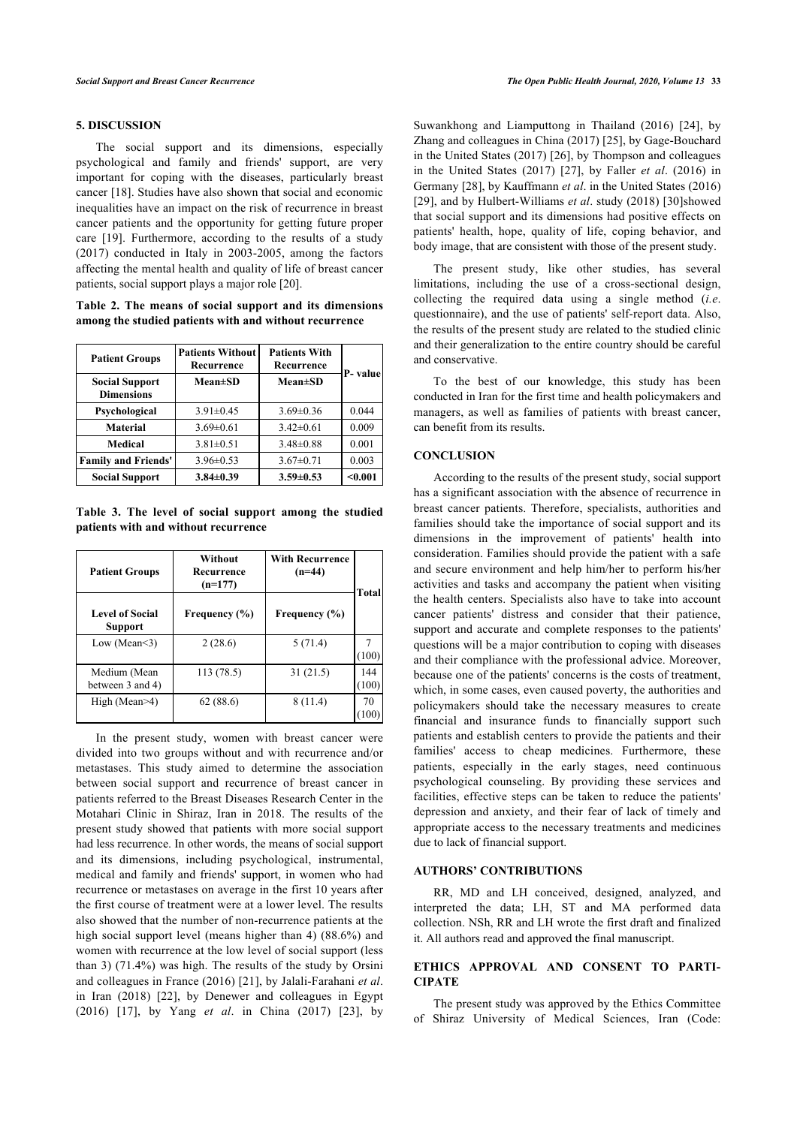#### **5. DISCUSSION**

The social support and its dimensions, especially psychological and family and friends' support, are very important for coping with the diseases, particularly breast cancer [[18](#page-4-17)]. Studies have also shown that social and economic inequalities have an impact on the risk of recurrence in breast cancer patients and the opportunity for getting future proper care [\[19\]](#page-4-18). Furthermore, according to the results of a study (2017) conducted in Italy in 2003-2005, among the factors affecting the mental health and quality of life of breast cancer patients, social support plays a major role [[20\]](#page-4-19).

<span id="page-3-0"></span>**Table 2. The means of social support and its dimensions among the studied patients with and without recurrence**

| <b>Patient Groups</b>                      | <b>Patients Without</b><br>Recurrence | <b>Patients With</b><br>Recurrence | P- valuel |  |
|--------------------------------------------|---------------------------------------|------------------------------------|-----------|--|
| <b>Social Support</b><br><b>Dimensions</b> | <b>Mean±SD</b>                        | $Mean \pm SD$                      |           |  |
| Psychological                              | $3.91 \pm 0.45$                       | $3.69 \pm 0.36$                    | 0.044     |  |
| <b>Material</b>                            | $3.69 \pm 0.61$                       | $3.42 \pm 0.61$                    | 0.009     |  |
| Medical                                    | $3.81 \pm 0.51$                       | $3.48 \pm 0.88$                    | 0.001     |  |
| <b>Family and Friends'</b>                 | $3.96 \pm 0.53$                       | $3.67 \pm 0.71$                    | 0.003     |  |
| <b>Social Support</b>                      | $3.84 \pm 0.39$                       | $3.59 \pm 0.53$                    | $0.001$   |  |

<span id="page-3-1"></span>**Table 3. The level of social support among the studied patients with and without recurrence**

| <b>Patient Groups</b>                    | Without<br>Recurrence<br>$(n=177)$ | <b>With Recurrence</b><br>$(n=44)$ | Total        |  |
|------------------------------------------|------------------------------------|------------------------------------|--------------|--|
| <b>Level of Social</b><br><b>Support</b> | Frequency $(\% )$                  | Frequency $(\% )$                  |              |  |
| Low (Mean $\leq$ 3)                      | 2(28.6)                            | 5(71.4)                            | (100)        |  |
| Medium (Mean<br>between 3 and 4)         | 113 (78.5)                         | 31(21.5)                           | 144<br>(100) |  |
| High (Mean>4)                            | 62(88.6)                           | 8(11.4)                            | 70<br>100    |  |

In the present study, women with breast cancer were divided into two groups without and with recurrence and/or metastases. This study aimed to determine the association between social support and recurrence of breast cancer in patients referred to the Breast Diseases Research Center in the Motahari Clinic in Shiraz, Iran in 2018. The results of the present study showed that patients with more social support had less recurrence. In other words, the means of social support and its dimensions, including psychological, instrumental, medical and family and friends' support, in women who had recurrence or metastases on average in the first 10 years after the first course of treatment were at a lower level. The results also showed that the number of non-recurrence patients at the high social support level (means higher than 4) (88.6%) and women with recurrence at the low level of social support (less than 3) (71.4%) was high. The results of the study by Orsini and colleagues in France (2016) [\[21\]](#page-4-20), by Jalali-Farahani *et al*. in Iran (2018) [\[22](#page-4-21)], by Denewer and colleagues in Egypt (2016)[[17\]](#page-4-16), by Yang *et al*. in China (2017) [\[23\]](#page-4-22), by

Suwankhong and Liamputtong in Thailand (2016)[[24\]](#page-4-23), by Zhang and colleagues in China (2017) [\[25](#page-4-24)], by Gage-Bouchard in the United States (2017) [\[26](#page-4-25)], by Thompson and colleagues in the United States (2017)[[27](#page-5-0)], by Faller *et al*. (2016) in Germany [\[28](#page-5-1)], by Kauffmann *et al*. in the United States (2016) [[29](#page-5-2)], and by Hulbert-Williams *et al*. study (2018) [\[30\]](#page-5-3)showed that social support and its dimensions had positive effects on patients' health, hope, quality of life, coping behavior, and body image, that are consistent with those of the present study.

The present study, like other studies, has several limitations, including the use of a cross-sectional design, collecting the required data using a single method (*i.e*. questionnaire), and the use of patients' self-report data. Also, the results of the present study are related to the studied clinic and their generalization to the entire country should be careful and conservative.

To the best of our knowledge, this study has been conducted in Iran for the first time and health policymakers and managers, as well as families of patients with breast cancer, can benefit from its results.

#### **CONCLUSION**

According to the results of the present study, social support has a significant association with the absence of recurrence in breast cancer patients. Therefore, specialists, authorities and families should take the importance of social support and its dimensions in the improvement of patients' health into consideration. Families should provide the patient with a safe and secure environment and help him/her to perform his/her activities and tasks and accompany the patient when visiting the health centers. Specialists also have to take into account cancer patients' distress and consider that their patience, support and accurate and complete responses to the patients' questions will be a major contribution to coping with diseases and their compliance with the professional advice. Moreover, because one of the patients' concerns is the costs of treatment, which, in some cases, even caused poverty, the authorities and policymakers should take the necessary measures to create financial and insurance funds to financially support such patients and establish centers to provide the patients and their families' access to cheap medicines. Furthermore, these patients, especially in the early stages, need continuous psychological counseling. By providing these services and facilities, effective steps can be taken to reduce the patients' depression and anxiety, and their fear of lack of timely and appropriate access to the necessary treatments and medicines due to lack of financial support.

#### **AUTHORS' CONTRIBUTIONS**

RR, MD and LH conceived, designed, analyzed, and interpreted the data; LH, ST and MA performed data collection. NSh, RR and LH wrote the first draft and finalized it. All authors read and approved the final manuscript.

#### **ETHICS APPROVAL AND CONSENT TO PARTI-CIPATE**

The present study was approved by the Ethics Committee of Shiraz University of Medical Sciences, Iran (Code: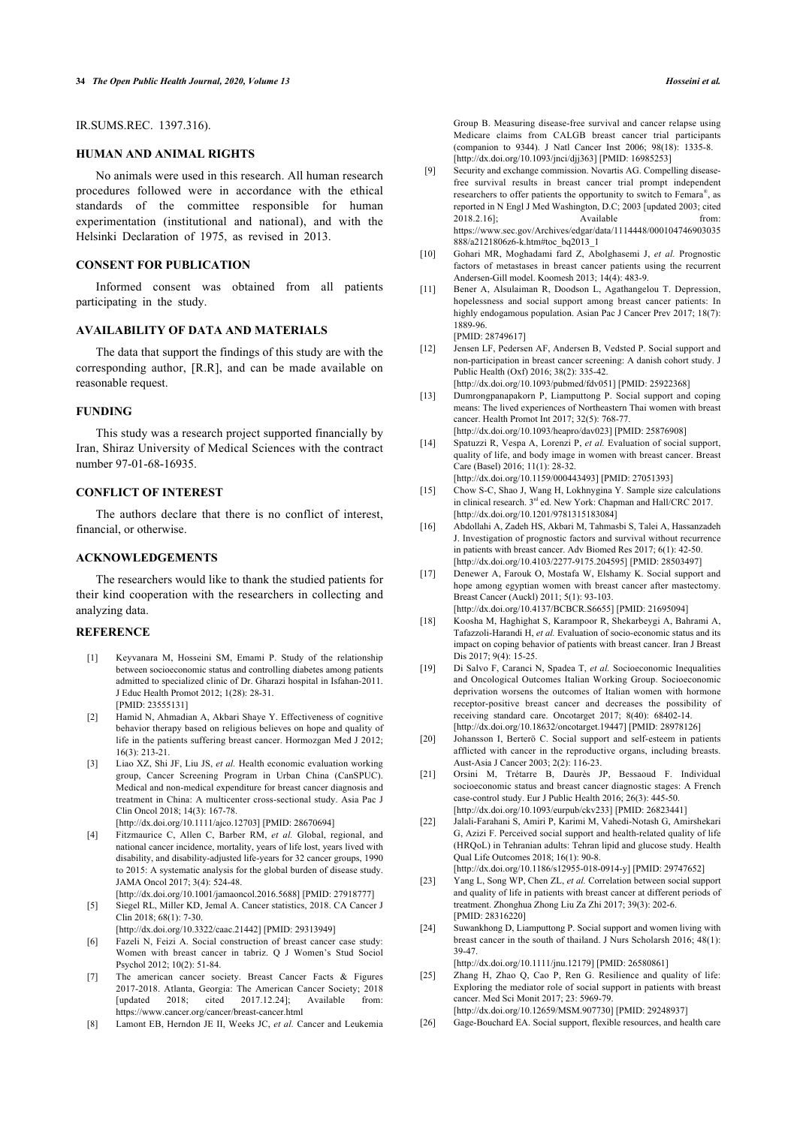#### IR.SUMS.REC. 1397.316).

#### **HUMAN AND ANIMAL RIGHTS**

<span id="page-4-8"></span>No animals were used in this research. All human research procedures followed were in accordance with the ethical standards of the committee responsible for human experimentation (institutional and national), and with the Helsinki Declaration of 1975, as revised in 2013.

#### <span id="page-4-9"></span>**CONSENT FOR PUBLICATION**

<span id="page-4-10"></span>Informed consent was obtained from all patients participating in the study.

#### **AVAILABILITY OF DATA AND MATERIALS**

<span id="page-4-11"></span>The data that support the findings of this study are with the corresponding author, [R.R], and can be made available on reasonable request.

#### <span id="page-4-12"></span>**FUNDING**

<span id="page-4-13"></span>This study was a research project supported financially by Iran, Shiraz University of Medical Sciences with the contract number 97-01-68-16935.

#### <span id="page-4-14"></span>**CONFLICT OF INTEREST**

<span id="page-4-15"></span>The authors declare that there is no conflict of interest, financial, or otherwise.

#### **ACKNOWLEDGEMENTS**

<span id="page-4-16"></span>The researchers would like to thank the studied patients for their kind cooperation with the researchers in collecting and analyzing data.

#### <span id="page-4-18"></span><span id="page-4-17"></span><span id="page-4-0"></span>**REFERENCE**

- [1] Keyvanara M, Hosseini SM, Emami P. Study of the relationship between socioeconomic status and controlling diabetes among patients admitted to specialized clinic of Dr. Gharazi hospital in Isfahan-2011. J Educ Health Promot 2012; 1(28): 28-31. [PMID: [23555131](http://www.ncbi.nlm.nih.gov/pubmed/23555131)]
- <span id="page-4-19"></span><span id="page-4-1"></span>[2] Hamid N, Ahmadian A, Akbari Shaye Y. Effectiveness of cognitive behavior therapy based on religious believes on hope and quality of life in the patients suffering breast cancer. Hormozgan Med J 2012; 16(3): 213-21.
- <span id="page-4-20"></span><span id="page-4-2"></span>[3] Liao XZ, Shi JF, Liu JS, *et al.* Health economic evaluation working group, Cancer Screening Program in Urban China (CanSPUC). Medical and non-medical expenditure for breast cancer diagnosis and treatment in China: A multicenter cross-sectional study. Asia Pac J Clin Oncol 2018; 14(3): 167-78. [\[http://dx.doi.org/10.1111/ajco.12703](http://dx.doi.org/10.1111/ajco.12703)] [PMID: [28670694\]](http://www.ncbi.nlm.nih.gov/pubmed/28670694)
- <span id="page-4-21"></span><span id="page-4-3"></span>[4] Fitzmaurice C, Allen C, Barber RM, *et al.* Global, regional, and national cancer incidence, mortality, years of life lost, years lived with disability, and disability-adjusted life-years for 32 cancer groups, 1990 to 2015: A systematic analysis for the global burden of disease study. JAMA Oncol 2017; 3(4): 524-48.
- <span id="page-4-22"></span><span id="page-4-4"></span>[\[http://dx.doi.org/10.1001/jamaoncol.2016.5688\]](http://dx.doi.org/10.1001/jamaoncol.2016.5688) [PMID: [27918777](http://www.ncbi.nlm.nih.gov/pubmed/27918777)] [5] Siegel RL, Miller KD, Jemal A. Cancer statistics, 2018. CA Cancer J  $C \text{lin } 2018$ ; 68(1): 7-30.
	- [\[http://dx.doi.org/10.3322/caac.21442\]](http://dx.doi.org/10.3322/caac.21442) [PMID: [29313949](http://www.ncbi.nlm.nih.gov/pubmed/29313949)]
- <span id="page-4-23"></span><span id="page-4-5"></span>[6] Fazeli N, Feizi A. Social construction of breast cancer case study: Women with breast cancer in tabriz. Q J Women's Stud Sociol Psychol 2012; 10(2): 51-84.
- <span id="page-4-24"></span><span id="page-4-6"></span>[7] The american cancer society. Breast Cancer Facts & Figures 2017-2018. Atlanta, Georgia: The American Cancer Society; 2018 [updated 2018; cited 2017.12.24]; Available from: <https://www.cancer.org/cancer/breast-cancer.html>
- <span id="page-4-25"></span><span id="page-4-7"></span>[8] Lamont EB, Herndon JE II, Weeks JC, et al. Cancer and Leukemia

Group B. Measuring disease-free survival and cancer relapse using Medicare claims from CALGB breast cancer trial participants (companion to 9344). J Natl Cancer Inst 2006; 98(18): 1335-8. [\[http://dx.doi.org/10.1093/jnci/djj363\]](http://dx.doi.org/10.1093/jnci/djj363) [PMID: [16985253](http://www.ncbi.nlm.nih.gov/pubmed/16985253)]

- [9] Security and exchange commission. Novartis AG. Compelling diseasefree survival results in breast cancer trial prompt independent researchers to offer patients the opportunity to switch to Femara®, as reported in N Engl J Med Washington, D.C; 2003 [updated 2003; cited 2018.2.16];<br>Available from:  $2018.2.16$ ]; [https://www.sec.gov/Archives/edgar/data/1114448/000104746903035](https://www.sec.gov/Archives/edgar/data/1114448/000104746903035888/a2121806z6-k.htm#toc_bq2013_1) [888/a2121806z6-k.htm#toc\\_bq2013\\_1](https://www.sec.gov/Archives/edgar/data/1114448/000104746903035888/a2121806z6-k.htm#toc_bq2013_1)
- [10] Gohari MR, Moghadami fard Z, Abolghasemi J, *et al.* Prognostic factors of metastases in breast cancer patients using the recurrent Andersen-Gill model. Koomesh 2013; 14(4): 483-9.
- [11] Bener A, Alsulaiman R, Doodson L, Agathangelou T. Depression, hopelessness and social support among breast cancer patients: In highly endogamous population. Asian Pac J Cancer Prev 2017: 18(7): 1889-96.

[PMID: [28749617\]](http://www.ncbi.nlm.nih.gov/pubmed/28749617)

- [12] Jensen LF, Pedersen AF, Andersen B, Vedsted P. Social support and non-participation in breast cancer screening: A danish cohort study. J Public Health (Oxf) 2016; 38(2): 335-42. [\[http://dx.doi.org/10.1093/pubmed/fdv051\]](http://dx.doi.org/10.1093/pubmed/fdv051) [PMID: [25922368](http://www.ncbi.nlm.nih.gov/pubmed/25922368)]
- [13] Dumrongpanapakorn P, Liamputtong P. Social support and coping means: The lived experiences of Northeastern Thai women with breast cancer. Health Promot Int 2017; 32(5): 768-77. [\[http://dx.doi.org/10.1093/heapro/dav023](http://dx.doi.org/10.1093/heapro/dav023)] [PMID: [25876908\]](http://www.ncbi.nlm.nih.gov/pubmed/25876908)
- [14] Spatuzzi R, Vespa A, Lorenzi P, *et al.* Evaluation of social support, quality of life, and body image in women with breast cancer. Breast Care (Basel) 2016; 11(1): 28-32. [\[http://dx.doi.org/10.1159/000443493\]](http://dx.doi.org/10.1159/000443493) [PMID: [27051393\]](http://www.ncbi.nlm.nih.gov/pubmed/27051393)
- [15] Chow S-C, Shao J, Wang H, Lokhnygina Y. Sample size calculations in clinical research.  $3^{rd}$  ed. New York: Chapman and Hall/CRC 2017. [\[http://dx.doi.org/10.1201/9781315183084\]](http://dx.doi.org/10.1201/9781315183084)
- [16] Abdollahi A, Zadeh HS, Akbari M, Tahmasbi S, Talei A, Hassanzadeh J. Investigation of prognostic factors and survival without recurrence in patients with breast cancer. Adv Biomed Res 2017; 6(1): 42-50. [\[http://dx.doi.org/10.4103/2277-9175.204595\]](http://dx.doi.org/10.4103/2277-9175.204595) [PMID: [28503497](http://www.ncbi.nlm.nih.gov/pubmed/28503497)]
- [17] Denewer A, Farouk O, Mostafa W, Elshamy K. Social support and hope among egyptian women with breast cancer after mastectomy. Breast Cancer (Auckl) 2011; 5(1): 93-103. [\[http://dx.doi.org/10.4137/BCBCR.S6655](http://dx.doi.org/10.4137/BCBCR.S6655)] [PMID: [21695094](http://www.ncbi.nlm.nih.gov/pubmed/21695094)]
- [18] Koosha M, Haghighat S, Karampoor R, Shekarbeygi A, Bahrami A, Tafazzoli-Harandi H, *et al.* Evaluation of socio-economic status and its impact on coping behavior of patients with breast cancer. Iran J Breast Dis 2017; 9(4): 15-25.
- [19] Di Salvo F, Caranci N, Spadea T, *et al.* Socioeconomic Inequalities and Oncological Outcomes Italian Working Group. Socioeconomic deprivation worsens the outcomes of Italian women with hormone receptor-positive breast cancer and decreases the possibility of receiving standard care. Oncotarget 2017; 8(40): 68402-14. [\[http://dx.doi.org/10.18632/oncotarget.19447\]](http://dx.doi.org/10.18632/oncotarget.19447) [PMID: [28978126](http://www.ncbi.nlm.nih.gov/pubmed/28978126)]
- [20] Johansson I, Berterö C. Social support and self-esteem in patients afflicted with cancer in the reproductive organs, including breasts. Aust-Asia J Cancer 2003; 2(2): 116-23.
- [21] Orsini M, Trétarre B, Daurès JP, Bessaoud F. Individual socioeconomic status and breast cancer diagnostic stages: A French case-control study. Eur J Public Health 2016; 26(3): 445-50. [\[http://dx.doi.org/10.1093/eurpub/ckv233](http://dx.doi.org/10.1093/eurpub/ckv233)] [PMID: [26823441](http://www.ncbi.nlm.nih.gov/pubmed/26823441)]
- [22] Jalali-Farahani S, Amiri P, Karimi M, Vahedi-Notash G, Amirshekari G, Azizi F. Perceived social support and health-related quality of life (HRQoL) in Tehranian adults: Tehran lipid and glucose study. Health Qual Life Outcomes 2018; 16(1): 90-8.
- [\[http://dx.doi.org/10.1186/s12955-018-0914-y\]](http://dx.doi.org/10.1186/s12955-018-0914-y) [PMID: [29747652](http://www.ncbi.nlm.nih.gov/pubmed/29747652)]
- [23] Yang L, Song WP, Chen ZL, *et al.* Correlation between social support and quality of life in patients with breast cancer at different periods of treatment. Zhonghua Zhong Liu Za Zhi 2017; 39(3): 202-6. [PMID: [28316220\]](http://www.ncbi.nlm.nih.gov/pubmed/28316220)
- [24] Suwankhong D, Liamputtong P. Social support and women living with breast cancer in the south of thailand. J Nurs Scholarsh 2016; 48(1): 39-47.

[\[http://dx.doi.org/10.1111/jnu.12179\]](http://dx.doi.org/10.1111/jnu.12179) [PMID: [26580861](http://www.ncbi.nlm.nih.gov/pubmed/26580861)]

- [25] Zhang H, Zhao Q, Cao P, Ren G. Resilience and quality of life: Exploring the mediator role of social support in patients with breast cancer. Med Sci Monit 2017; 23: 5969-79.
- [\[http://dx.doi.org/10.12659/MSM.907730](http://dx.doi.org/10.12659/MSM.907730)] [PMID: [29248937\]](http://www.ncbi.nlm.nih.gov/pubmed/29248937) [26] Gage-Bouchard EA. Social support, flexible resources, and health care